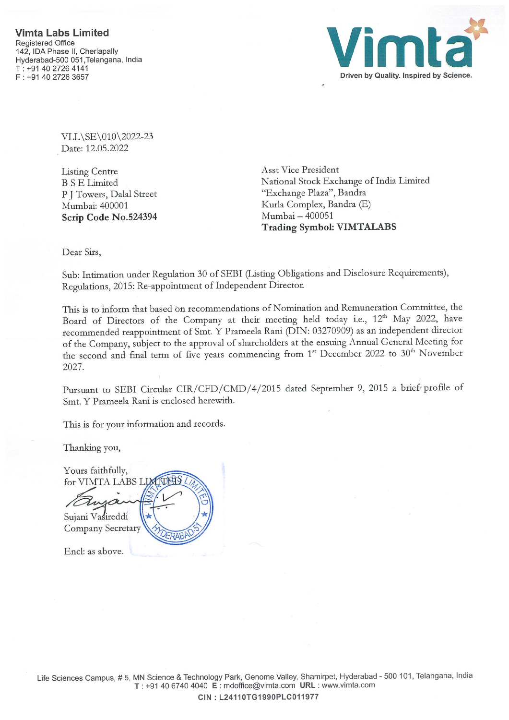

VLL\SE\010\2022-23 Date: 12.05.2022

Listing Centre B <sup>S</sup> E Limited P <sup>J</sup> Towers, Dalal Street Mumbat: 400001 Scrip Code No.524394 Asst Vice President National Stock Exchange of India Limited"Exchange Plaza", Bandra Kurla Complex, Bandra (E) Mumbai — 400051 Trading Symbol: VIMTALABS

Dear Sirs,

Sub: Intimation under Regulation 30 of SEBI (Listing Obligations and Disclosure Requirements), Regulations, 2015: Re-appointment of Independent Director.

This is to inform that based on recommendations of Nomination and Remuneration Committee, the Board of Directors of the Company at their meeting held today i.e., 12<sup>th</sup> May 2022, have recommended reappointment of Smt. Y Prameela Rani (DIN: 03270909) as an independent director of the Company, subject to the approval of shareholders at the ensuing Annual General Meeting for the second and final term of five years commencing from 1<sup>st</sup> December 2022 to 30<sup>th</sup> November 2027.

Pursuant to SEBI Circular CIR/CFD/CMD/4/2015 dated September 9, 2015 a brief profile of Smt. Y Prameela Rani is enclosed herewith.

This is for your information and records.

Thanking you,

Yours faithfully, for VIMTA LABS -p Sujani Vasireddi Company Secretary

End: as above.